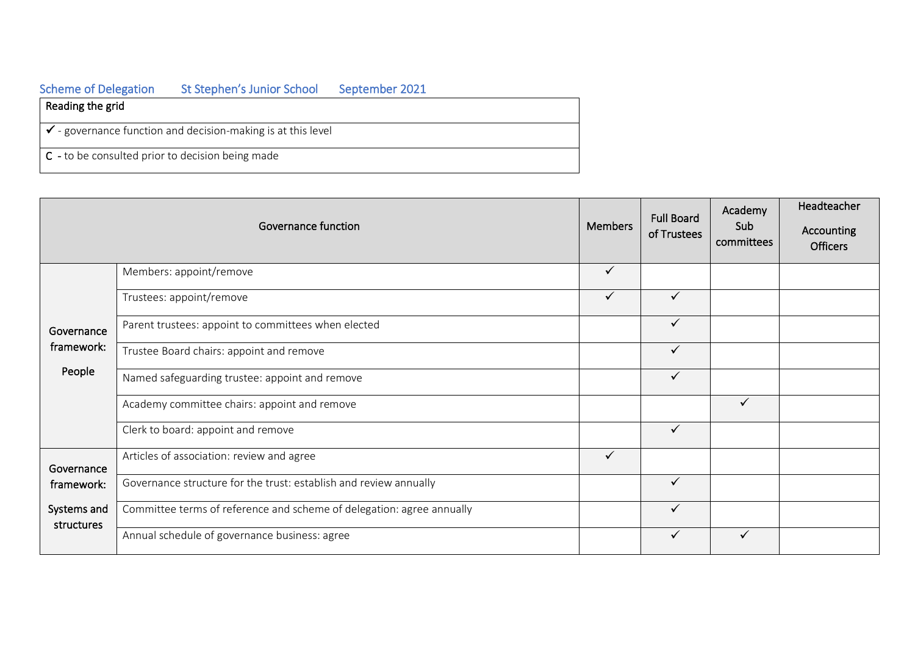| <b>Scheme of Delegation</b>                                             | St Stephen's Junior School | September 2021 |  |  |  |
|-------------------------------------------------------------------------|----------------------------|----------------|--|--|--|
| Reading the grid                                                        |                            |                |  |  |  |
| $\checkmark$ - governance function and decision-making is at this level |                            |                |  |  |  |
| $\mathsf{C}$ - to be consulted prior to decision being made             |                            |                |  |  |  |

| Governance function                                   |                                                                       | <b>Members</b> | <b>Full Board</b><br>of Trustees | Academy<br>Sub<br>committees | Headteacher<br>Accounting<br><b>Officers</b> |
|-------------------------------------------------------|-----------------------------------------------------------------------|----------------|----------------------------------|------------------------------|----------------------------------------------|
| Governance<br>framework:<br>People                    | Members: appoint/remove                                               | $\checkmark$   |                                  |                              |                                              |
|                                                       | Trustees: appoint/remove                                              | $\checkmark$   | $\checkmark$                     |                              |                                              |
|                                                       | Parent trustees: appoint to committees when elected                   |                | $\checkmark$                     |                              |                                              |
|                                                       | Trustee Board chairs: appoint and remove                              |                | $\checkmark$                     |                              |                                              |
|                                                       | Named safeguarding trustee: appoint and remove                        |                | $\checkmark$                     |                              |                                              |
|                                                       | Academy committee chairs: appoint and remove                          |                |                                  | ✓                            |                                              |
|                                                       | Clerk to board: appoint and remove                                    |                | $\checkmark$                     |                              |                                              |
| Governance<br>framework:<br>Systems and<br>structures | Articles of association: review and agree                             | $\checkmark$   |                                  |                              |                                              |
|                                                       | Governance structure for the trust: establish and review annually     |                | $\checkmark$                     |                              |                                              |
|                                                       | Committee terms of reference and scheme of delegation: agree annually |                | $\checkmark$                     |                              |                                              |
|                                                       | Annual schedule of governance business: agree                         |                | $\checkmark$                     | ✓                            |                                              |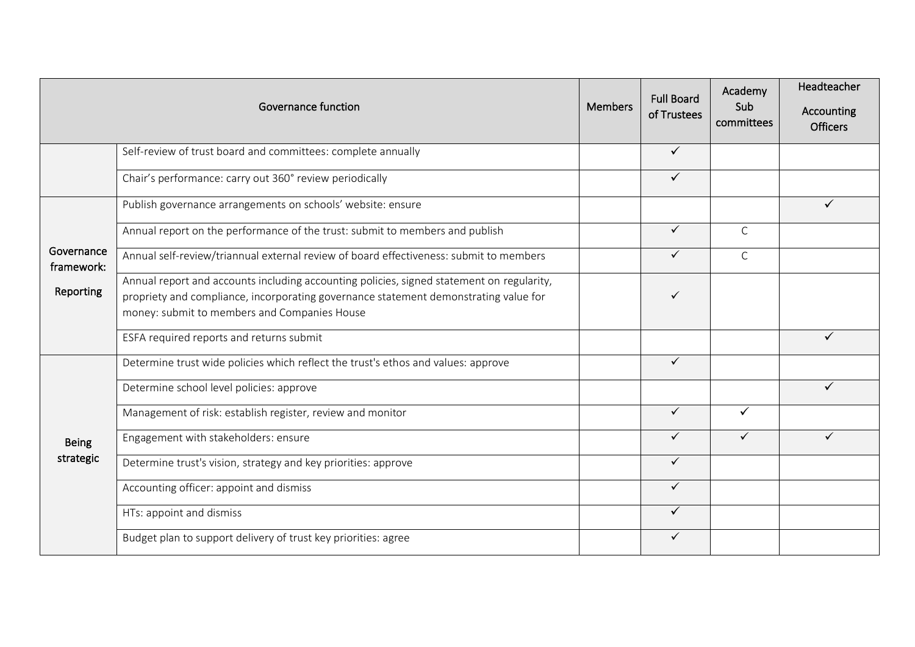| <b>Governance function</b>            |                                                                                                                                                                                                                                   | <b>Members</b> | <b>Full Board</b><br>of Trustees | Academy<br>Sub<br>committees | Headteacher<br>Accounting<br><b>Officers</b> |
|---------------------------------------|-----------------------------------------------------------------------------------------------------------------------------------------------------------------------------------------------------------------------------------|----------------|----------------------------------|------------------------------|----------------------------------------------|
|                                       | Self-review of trust board and committees: complete annually                                                                                                                                                                      |                | $\checkmark$                     |                              |                                              |
| Governance<br>framework:<br>Reporting | Chair's performance: carry out 360° review periodically                                                                                                                                                                           |                | $\checkmark$                     |                              |                                              |
|                                       | Publish governance arrangements on schools' website: ensure                                                                                                                                                                       |                |                                  |                              | ✓                                            |
|                                       | Annual report on the performance of the trust: submit to members and publish                                                                                                                                                      |                | $\checkmark$                     | C                            |                                              |
|                                       | Annual self-review/triannual external review of board effectiveness: submit to members                                                                                                                                            |                | $\checkmark$                     | $\mathsf{C}$                 |                                              |
|                                       | Annual report and accounts including accounting policies, signed statement on regularity,<br>propriety and compliance, incorporating governance statement demonstrating value for<br>money: submit to members and Companies House |                | ✓                                |                              |                                              |
|                                       | ESFA required reports and returns submit                                                                                                                                                                                          |                |                                  |                              |                                              |
| <b>Being</b><br>strategic             | Determine trust wide policies which reflect the trust's ethos and values: approve                                                                                                                                                 |                | $\checkmark$                     |                              |                                              |
|                                       | Determine school level policies: approve                                                                                                                                                                                          |                |                                  |                              | ✓                                            |
|                                       | Management of risk: establish register, review and monitor                                                                                                                                                                        |                | $\checkmark$                     | $\checkmark$                 |                                              |
|                                       | Engagement with stakeholders: ensure                                                                                                                                                                                              |                | $\checkmark$                     | $\checkmark$                 | ✓                                            |
|                                       | Determine trust's vision, strategy and key priorities: approve                                                                                                                                                                    |                | $\checkmark$                     |                              |                                              |
|                                       | Accounting officer: appoint and dismiss                                                                                                                                                                                           |                | $\checkmark$                     |                              |                                              |
|                                       | HTs: appoint and dismiss                                                                                                                                                                                                          |                | $\checkmark$                     |                              |                                              |
|                                       | Budget plan to support delivery of trust key priorities: agree                                                                                                                                                                    |                | ✓                                |                              |                                              |